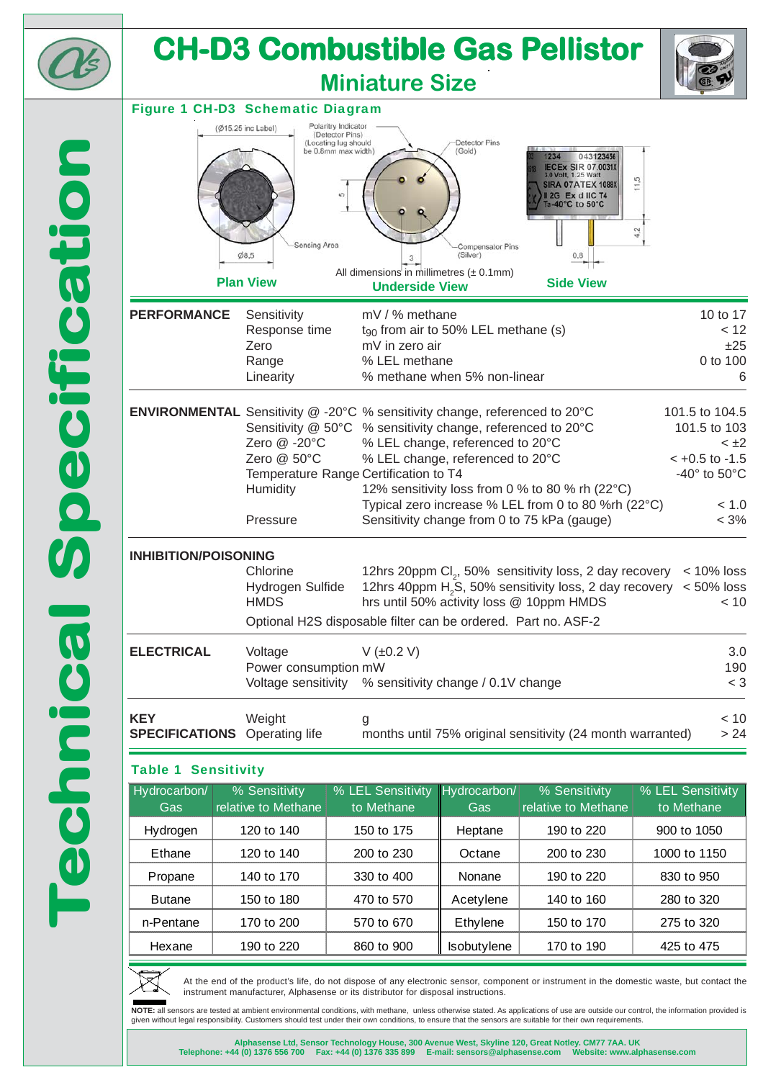| <b>CH-D3 Combustible Gas Pellistor</b><br><b>Miniature Size</b> |                                                                           |                                                                                                                                                                                           |                                                                                 |                                                                                                                                                                    |                                                                                                                          |
|-----------------------------------------------------------------|---------------------------------------------------------------------------|-------------------------------------------------------------------------------------------------------------------------------------------------------------------------------------------|---------------------------------------------------------------------------------|--------------------------------------------------------------------------------------------------------------------------------------------------------------------|--------------------------------------------------------------------------------------------------------------------------|
|                                                                 | <b>Figure 1 CH-D3 Schematic Diagram</b>                                   |                                                                                                                                                                                           |                                                                                 |                                                                                                                                                                    |                                                                                                                          |
|                                                                 | $(\emptyset$ 15.25 inc Label)<br>Sensing Area<br>Ø8,5<br><b>Plan View</b> | Polaritry Indicator<br>(Detector Pins)<br>(Locating lug should<br>be 0.8mm max width)<br>S<br>3<br>All dimensions in millimetres $(\pm 0.1$ mm)<br><b>Underside View</b>                  | Detector Pins<br>(Gold)<br><b>Compensator Pins</b><br>(Silver)                  | 1234<br>043123456<br><b>IECEX SIR 07.0031X</b><br>3.0 Volt, 1.25 Watt<br><b>SIRA 07ATEX 1088X</b><br>12G Ex d IIC T4<br>Ta-40°C to 50°C<br>0,8<br><b>Side View</b> |                                                                                                                          |
| <b>PERFORMANCE</b>                                              | Sensitivity<br>Response time<br>Zero<br>Range<br>Linearity                | mV / % methane<br>mV in zero air<br>% LEL methane                                                                                                                                         | t <sub>90</sub> from air to 50% LEL methane (s)<br>% methane when 5% non-linear |                                                                                                                                                                    | 10 to 17<br>< 12<br>±25<br>0 to 100<br>6                                                                                 |
|                                                                 | Zero @ -20°C<br>Zero @ 50°C<br><b>Humidity</b><br>Pressure                | <b>ENVIRONMENTAL</b> Sensitivity @ -20°C % sensitivity change, referenced to 20°C<br>Sensitivity @ 50°C % sensitivity change, referenced to 20°C<br>Temperature Range Certification to T4 | % LEL change, referenced to 20°C<br>% LEL change, referenced to 20°C            | 12% sensitivity loss from 0 % to 80 % rh (22°C)<br>Typical zero increase % LEL from 0 to 80 %rh (22°C)<br>Sensitivity change from 0 to 75 kPa (gauge)              | 101.5 to 104.5<br>101.5 to 103<br>$< \pm 2$<br>$< +0.5$ to $-1.5$<br>-40 $\degree$ to 50 $\degree$ C<br>< 1.0<br>$< 3\%$ |
| <b>INHIBITION/POISONING</b>                                     | Chlorine<br>Hydrogen Sulfide<br><b>HMDS</b>                               | Optional H2S disposable filter can be ordered. Part no. ASF-2                                                                                                                             |                                                                                 | 12hrs 20ppm Cl <sub>2</sub> , 50% sensitivity loss, 2 day recovery<br>hrs until 50% activity loss @ 10ppm HMDS                                                     | $< 10\%$ loss<br>12hrs 40ppm H <sub>2</sub> S, 50% sensitivity loss, 2 day recovery $\lt$ 50% loss<br>< 10               |
| <b>ELECTRICAL</b>                                               | Voltage<br>Power consumption mW<br>Voltage sensitivity                    | V (±0.2 V)                                                                                                                                                                                | % sensitivity change / 0.1V change                                              |                                                                                                                                                                    | 3.0<br>190<br>$< 3\,$                                                                                                    |
| <b>KEY</b><br><b>SPECIFICATIONS</b> Operating life              | Weight                                                                    | g                                                                                                                                                                                         |                                                                                 | months until 75% original sensitivity (24 month warranted)                                                                                                         | < 10<br>> 24                                                                                                             |
| <b>Table 1 Sensitivity</b>                                      |                                                                           |                                                                                                                                                                                           |                                                                                 |                                                                                                                                                                    |                                                                                                                          |
| Hydrocarbon/                                                    | % Sensitivity                                                             | % LEL Sensitivity<br>to Methane                                                                                                                                                           | Hydrocarbon/                                                                    | % Sensitivity<br>relative to Methane                                                                                                                               | % LEL Sensitivity                                                                                                        |
| Gas<br>Hydrogen                                                 | relative to Methane<br>120 to 140                                         | 150 to 175                                                                                                                                                                                | Gas<br>Heptane                                                                  | 190 to 220                                                                                                                                                         | to Methane<br>900 to 1050                                                                                                |
|                                                                 |                                                                           | 200 to 230                                                                                                                                                                                | Octane                                                                          | 200 to 230                                                                                                                                                         | 1000 to 1150                                                                                                             |
|                                                                 |                                                                           |                                                                                                                                                                                           |                                                                                 |                                                                                                                                                                    |                                                                                                                          |
| Ethane                                                          | 120 to 140                                                                |                                                                                                                                                                                           | Nonane                                                                          |                                                                                                                                                                    |                                                                                                                          |
| Propane<br><b>Butane</b>                                        | 140 to 170<br>150 to 180                                                  | 330 to 400<br>470 to 570                                                                                                                                                                  | Acetylene                                                                       | 190 to 220<br>140 to 160                                                                                                                                           | 830 to 950<br>280 to 320                                                                                                 |
| n-Pentane                                                       | 170 to 200                                                                | 570 to 670                                                                                                                                                                                | Ethylene                                                                        | 150 to 170                                                                                                                                                         | 275 to 320                                                                                                               |



At the end of the product's life, do not dispose of any electronic sensor, component or instrument in the domestic waste, but contact the instrument manufacturer, Alphasense or its distributor for disposal instructions.

**NOTE:** all sensors are tested at ambient environmental conditions, with methane, unless otherwise stated. As applications of use are outside our control, the information provided is<br>given without legal responsibility. Cus

Alphasense Ltd, Sensor Technology House, 300 Avenue West, Skyline 120, Great Notley. CM77 7AA. UK<br>Telephone: +44 (0) 1376 556 700 Fax: +44 (0) 1376 335 899 E-mail: sensors@alphasense.com Website: www.alphasense.com